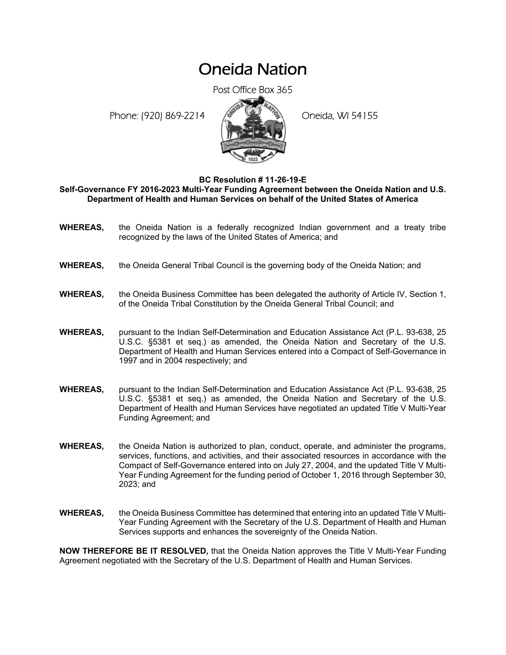## Oneida Nation

Post Office Box 365

Phone: (920) 869-2214 (8 April 194155)



**BC Resolution # 11-26-19-E** 

**Self-Governance FY 2016-2023 Multi-Year Funding Agreement between the Oneida Nation and U.S. Department of Health and Human Services on behalf of the United States of America** 

- **WHEREAS,** the Oneida Nation is a federally recognized Indian government and a treaty tribe recognized by the laws of the United States of America; and
- **WHEREAS,** the Oneida General Tribal Council is the governing body of the Oneida Nation; and
- **WHEREAS,** the Oneida Business Committee has been delegated the authority of Article IV, Section 1, of the Oneida Tribal Constitution by the Oneida General Tribal Council; and
- **WHEREAS,** pursuant to the Indian Self-Determination and Education Assistance Act (P.L. 93-638, 25 U.S.C. §5381 et seq.) as amended, the Oneida Nation and Secretary of the U.S. Department of Health and Human Services entered into a Compact of Self-Governance in 1997 and in 2004 respectively; and
- **WHEREAS,** pursuant to the Indian Self-Determination and Education Assistance Act (P.L. 93-638, 25 U.S.C. §5381 et seq.) as amended, the Oneida Nation and Secretary of the U.S. Department of Health and Human Services have negotiated an updated Title V Multi-Year Funding Agreement; and
- **WHEREAS,** the Oneida Nation is authorized to plan, conduct, operate, and administer the programs, services, functions, and activities, and their associated resources in accordance with the Compact of Self-Governance entered into on July 27, 2004, and the updated Title V Multi-Year Funding Agreement for the funding period of October 1, 2016 through September 30, 2023; and
- **WHEREAS,** the Oneida Business Committee has determined that entering into an updated Title V Multi-Year Funding Agreement with the Secretary of the U.S. Department of Health and Human Services supports and enhances the sovereignty of the Oneida Nation.

**NOW THEREFORE BE IT RESOLVED,** that the Oneida Nation approves the Title V Multi-Year Funding Agreement negotiated with the Secretary of the U.S. Department of Health and Human Services.